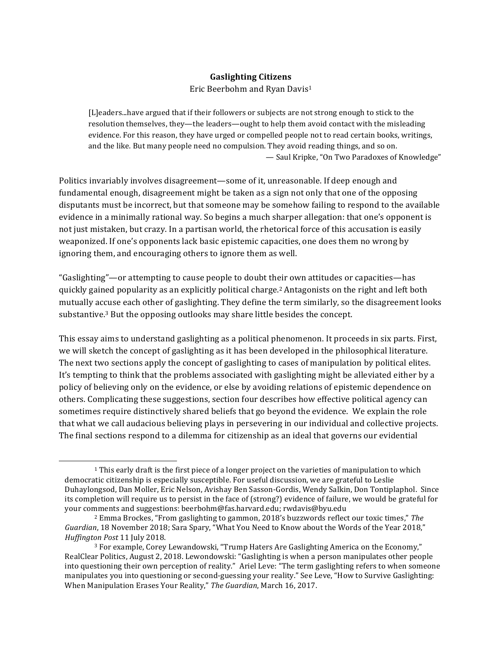#### **Gaslighting Citizens**

#### Eric Beerbohm and Ryan Davis<sup>1</sup>

[L]eaders...have argued that if their followers or subjects are not strong enough to stick to the resolution themselves, they—the leaders—ought to help them avoid contact with the misleading evidence. For this reason, they have urged or compelled people not to read certain books, writings, and the like. But many people need no compulsion. They avoid reading things, and so on. - Saul Kripke, "On Two Paradoxes of Knowledge"

Politics invariably involves disagreement—some of it, unreasonable. If deep enough and fundamental enough, disagreement might be taken as a sign not only that one of the opposing disputants must be incorrect, but that someone may be somehow failing to respond to the available evidence in a minimally rational way. So begins a much sharper allegation: that one's opponent is not just mistaken, but crazy. In a partisan world, the rhetorical force of this accusation is easily weaponized. If one's opponents lack basic epistemic capacities, one does them no wrong by ignoring them, and encouraging others to ignore them as well.

"Gaslighting"—or attempting to cause people to doubt their own attitudes or capacities—has quickly gained popularity as an explicitly political charge.<sup>2</sup> Antagonists on the right and left both mutually accuse each other of gaslighting. They define the term similarly, so the disagreement looks substantive.<sup>3</sup> But the opposing outlooks may share little besides the concept.

This essay aims to understand gaslighting as a political phenomenon. It proceeds in six parts. First, we will sketch the concept of gaslighting as it has been developed in the philosophical literature. The next two sections apply the concept of gaslighting to cases of manipulation by political elites. It's tempting to think that the problems associated with gaslighting might be alleviated either by a policy of believing only on the evidence, or else by avoiding relations of epistemic dependence on others. Complicating these suggestions, section four describes how effective political agency can sometimes require distinctively shared beliefs that go beyond the evidence. We explain the role that what we call audacious believing plays in persevering in our individual and collective projects. The final sections respond to a dilemma for citizenship as an ideal that governs our evidential

 $1$  This early draft is the first piece of a longer project on the varieties of manipulation to which democratic citizenship is especially susceptible. For useful discussion, we are grateful to Leslie Duhaylongsod, Dan Moller, Eric Nelson, Avishay Ben Sasson-Gordis, Wendy Salkin, Don Tontiplaphol. Since its completion will require us to persist in the face of (strong?) evidence of failure, we would be grateful for your comments and suggestions: beerbohm@fas.harvard.edu; rwdavis@byu.edu

<sup>&</sup>lt;sup>2</sup> Emma Brockes, "From gaslighting to gammon, 2018's buzzwords reflect our toxic times," The Guardian, 18 November 2018; Sara Spary, "What You Need to Know about the Words of the Year 2018," *Huffington Post* 11 July 2018.

<sup>&</sup>lt;sup>3</sup> For example, Corey Lewandowski, "Trump Haters Are Gaslighting America on the Economy," RealClear Politics, August 2, 2018. Lewondowski: "Gaslighting is when a person manipulates other people into questioning their own perception of reality." Ariel Leve: "The term gaslighting refers to when someone manipulates you into questioning or second-guessing your reality." See Leve, "How to Survive Gaslighting: When Manipulation Erases Your Reality," The Guardian, March 16, 2017.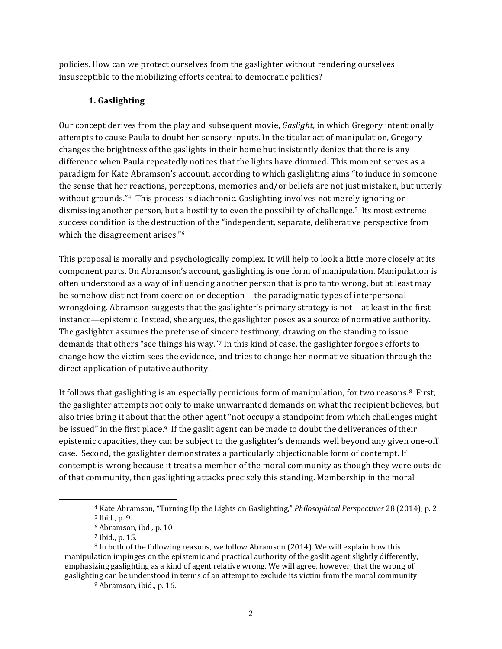policies. How can we protect ourselves from the gaslighter without rendering ourselves insusceptible to the mobilizing efforts central to democratic politics?

# **1. Gaslighting**

Our concept derives from the play and subsequent movie, *Gaslight*, in which Gregory intentionally attempts to cause Paula to doubt her sensory inputs. In the titular act of manipulation, Gregory changes the brightness of the gaslights in their home but insistently denies that there is any difference when Paula repeatedly notices that the lights have dimmed. This moment serves as a paradigm for Kate Abramson's account, according to which gaslighting aims "to induce in someone the sense that her reactions, perceptions, memories and/or beliefs are not just mistaken, but utterly without grounds."<sup>4</sup> This process is diachronic. Gaslighting involves not merely ignoring or dismissing another person, but a hostility to even the possibility of challenge.<sup>5</sup> Its most extreme success condition is the destruction of the "independent, separate, deliberative perspective from which the disagreement arises."<sup>6</sup>

This proposal is morally and psychologically complex. It will help to look a little more closely at its component parts. On Abramson's account, gaslighting is one form of manipulation. Manipulation is often understood as a way of influencing another person that is pro tanto wrong, but at least may be somehow distinct from coercion or deception—the paradigmatic types of interpersonal wrongdoing. Abramson suggests that the gaslighter's primary strategy is not—at least in the first instance—epistemic. Instead, she argues, the gaslighter poses as a source of normative authority. The gaslighter assumes the pretense of sincere testimony, drawing on the standing to issue demands that others "see things his way."<sup>7</sup> In this kind of case, the gaslighter forgoes efforts to change how the victim sees the evidence, and tries to change her normative situation through the direct application of putative authority.

It follows that gaslighting is an especially pernicious form of manipulation, for two reasons.<sup>8</sup> First, the gaslighter attempts not only to make unwarranted demands on what the recipient believes, but also tries bring it about that the other agent "not occupy a standpoint from which challenges might be issued" in the first place.<sup>9</sup> If the gaslit agent can be made to doubt the deliverances of their epistemic capacities, they can be subject to the gaslighter's demands well beyond any given one-off case. Second, the gaslighter demonstrates a particularly objectionable form of contempt. If contempt is wrong because it treats a member of the moral community as though they were outside of that community, then gaslighting attacks precisely this standing. Membership in the moral

 $9$  Abramson, ibid., p. 16.

<sup>&</sup>lt;sup>4</sup> Kate Abramson, "Turning Up the Lights on Gaslighting," *Philosophical Perspectives* 28 (2014), p. 2.  $5$  Ibid., p. 9.

 $6$  Abramson, ibd., p. 10

<sup>7</sup> Ibid., p. 15.

 $8$  In both of the following reasons, we follow Abramson (2014). We will explain how this manipulation impinges on the epistemic and practical authority of the gaslit agent slightly differently, emphasizing gaslighting as a kind of agent relative wrong. We will agree, however, that the wrong of gaslighting can be understood in terms of an attempt to exclude its victim from the moral community.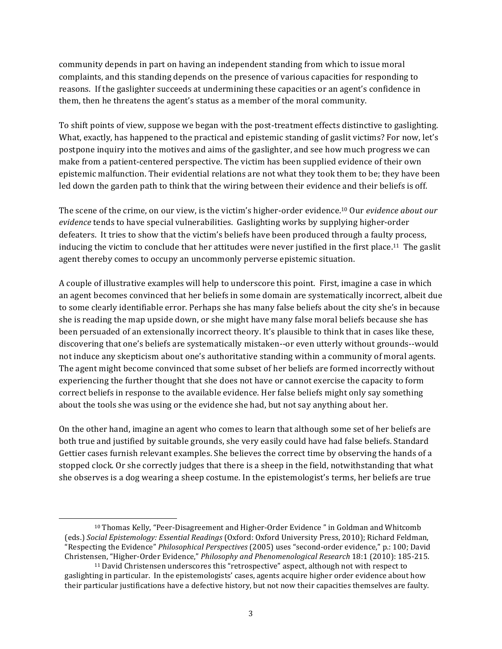community depends in part on having an independent standing from which to issue moral complaints, and this standing depends on the presence of various capacities for responding to reasons. If the gaslighter succeeds at undermining these capacities or an agent's confidence in them, then he threatens the agent's status as a member of the moral community.

To shift points of view, suppose we began with the post-treatment effects distinctive to gaslighting. What, exactly, has happened to the practical and epistemic standing of gaslit victims? For now, let's postpone inquiry into the motives and aims of the gaslighter, and see how much progress we can make from a patient-centered perspective. The victim has been supplied evidence of their own epistemic malfunction. Their evidential relations are not what they took them to be; they have been led down the garden path to think that the wiring between their evidence and their beliefs is off.

The scene of the crime, on our view, is the victim's higher-order evidence.<sup>10</sup> Our *evidence about our evidence* tends to have special vulnerabilities. Gaslighting works by supplying higher-order defeaters. It tries to show that the victim's beliefs have been produced through a faulty process, inducing the victim to conclude that her attitudes were never justified in the first place.<sup>11</sup> The gaslit agent thereby comes to occupy an uncommonly perverse epistemic situation.

A couple of illustrative examples will help to underscore this point. First, imagine a case in which an agent becomes convinced that her beliefs in some domain are systematically incorrect, albeit due to some clearly identifiable error. Perhaps she has many false beliefs about the city she's in because she is reading the map upside down, or she might have many false moral beliefs because she has been persuaded of an extensionally incorrect theory. It's plausible to think that in cases like these, discovering that one's beliefs are systematically mistaken--or even utterly without grounds--would not induce any skepticism about one's authoritative standing within a community of moral agents. The agent might become convinced that some subset of her beliefs are formed incorrectly without experiencing the further thought that she does not have or cannot exercise the capacity to form correct beliefs in response to the available evidence. Her false beliefs might only say something about the tools she was using or the evidence she had, but not say anything about her.

On the other hand, imagine an agent who comes to learn that although some set of her beliefs are both true and justified by suitable grounds, she very easily could have had false beliefs. Standard Gettier cases furnish relevant examples. She believes the correct time by observing the hands of a stopped clock. Or she correctly judges that there is a sheep in the field, notwithstanding that what she observes is a dog wearing a sheep costume. In the epistemologist's terms, her beliefs are true

 $10$  Thomas Kelly, "Peer-Disagreement and Higher-Order Evidence" in Goldman and Whitcomb (eds.) *Social Epistemology: Essential Readings* (Oxford: Oxford University Press, 2010); Richard Feldman, "Respecting the Evidence" *Philosophical Perspectives* (2005) uses "second-order evidence," p.: 100; David Christensen, "Higher-Order Evidence," *Philosophy and Phenomenological Research* 18:1 (2010): 185-215.

 $11$  David Christensen underscores this "retrospective" aspect, although not with respect to gaslighting in particular. In the epistemologists' cases, agents acquire higher order evidence about how their particular justifications have a defective history, but not now their capacities themselves are faulty.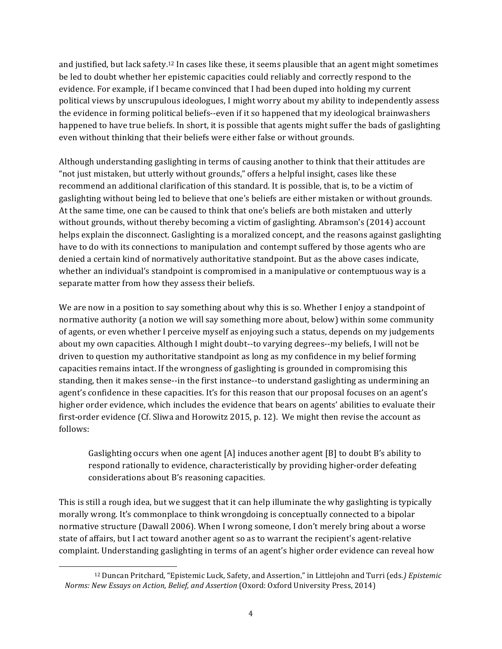and justified, but lack safety.<sup>12</sup> In cases like these, it seems plausible that an agent might sometimes be led to doubt whether her epistemic capacities could reliably and correctly respond to the evidence. For example, if I became convinced that I had been duped into holding my current political views by unscrupulous ideologues, I might worry about my ability to independently assess the evidence in forming political beliefs--even if it so happened that my ideological brainwashers happened to have true beliefs. In short, it is possible that agents might suffer the bads of gaslighting even without thinking that their beliefs were either false or without grounds.

Although understanding gaslighting in terms of causing another to think that their attitudes are "not just mistaken, but utterly without grounds," offers a helpful insight, cases like these recommend an additional clarification of this standard. It is possible, that is, to be a victim of gaslighting without being led to believe that one's beliefs are either mistaken or without grounds. At the same time, one can be caused to think that one's beliefs are both mistaken and utterly without grounds, without thereby becoming a victim of gaslighting. Abramson's  $(2014)$  account helps explain the disconnect. Gaslighting is a moralized concept, and the reasons against gaslighting have to do with its connections to manipulation and contempt suffered by those agents who are denied a certain kind of normatively authoritative standpoint. But as the above cases indicate, whether an individual's standpoint is compromised in a manipulative or contemptuous way is a separate matter from how they assess their beliefs.

We are now in a position to say something about why this is so. Whether I enjoy a standpoint of normative authority (a notion we will say something more about, below) within some community of agents, or even whether I perceive myself as enjoying such a status, depends on my judgements about my own capacities. Although I might doubt--to varying degrees--my beliefs, I will not be driven to question my authoritative standpoint as long as my confidence in my belief forming capacities remains intact. If the wrongness of gaslighting is grounded in compromising this standing, then it makes sense--in the first instance--to understand gaslighting as undermining an agent's confidence in these capacities. It's for this reason that our proposal focuses on an agent's higher order evidence, which includes the evidence that bears on agents' abilities to evaluate their first-order evidence  $(cf. Sliwa$  and Horowitz 2015, p. 12). We might then revise the account as follows:

Gaslighting occurs when one agent  $[A]$  induces another agent  $[B]$  to doubt B's ability to respond rationally to evidence, characteristically by providing higher-order defeating considerations about B's reasoning capacities.

This is still a rough idea, but we suggest that it can help illuminate the why gaslighting is typically morally wrong. It's commonplace to think wrongdoing is conceptually connected to a bipolar normative structure (Dawall 2006). When I wrong someone, I don't merely bring about a worse state of affairs, but I act toward another agent so as to warrant the recipient's agent-relative complaint. Understanding gaslighting in terms of an agent's higher order evidence can reveal how

<sup>&</sup>lt;sup>12</sup> Duncan Pritchard, "Epistemic Luck, Safety, and Assertion," in Littlejohn and Turri (eds.) Epistemic *Norms: New Essays on Action, Belief, and Assertion* (Oxord: Oxford University Press, 2014)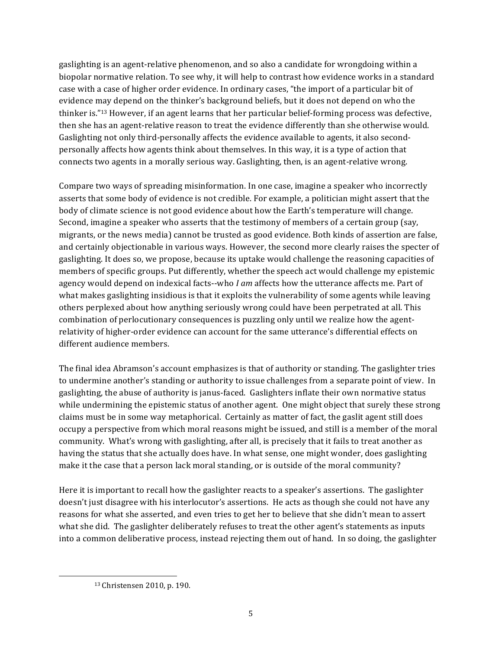gaslighting is an agent-relative phenomenon, and so also a candidate for wrongdoing within a biopolar normative relation. To see why, it will help to contrast how evidence works in a standard case with a case of higher order evidence. In ordinary cases, "the import of a particular bit of evidence may depend on the thinker's background beliefs, but it does not depend on who the thinker is. $"^{13}$  However, if an agent learns that her particular belief-forming process was defective, then she has an agent-relative reason to treat the evidence differently than she otherwise would. Gaslighting not only third-personally affects the evidence available to agents, it also secondpersonally affects how agents think about themselves. In this way, it is a type of action that connects two agents in a morally serious way. Gaslighting, then, is an agent-relative wrong.

Compare two ways of spreading misinformation. In one case, imagine a speaker who incorrectly asserts that some body of evidence is not credible. For example, a politician might assert that the body of climate science is not good evidence about how the Earth's temperature will change. Second, imagine a speaker who asserts that the testimony of members of a certain group (say, migrants, or the news media) cannot be trusted as good evidence. Both kinds of assertion are false, and certainly objectionable in various ways. However, the second more clearly raises the specter of gaslighting. It does so, we propose, because its uptake would challenge the reasoning capacities of members of specific groups. Put differently, whether the speech act would challenge my epistemic agency would depend on indexical facts--who *I* am affects how the utterance affects me. Part of what makes gaslighting insidious is that it exploits the vulnerability of some agents while leaving others perplexed about how anything seriously wrong could have been perpetrated at all. This combination of perlocutionary consequences is puzzling only until we realize how the agentrelativity of higher-order evidence can account for the same utterance's differential effects on different audience members.

The final idea Abramson's account emphasizes is that of authority or standing. The gaslighter tries to undermine another's standing or authority to issue challenges from a separate point of view. In gaslighting, the abuse of authority is janus-faced. Gaslighters inflate their own normative status while undermining the epistemic status of another agent. One might object that surely these strong claims must be in some way metaphorical. Certainly as matter of fact, the gaslit agent still does occupy a perspective from which moral reasons might be issued, and still is a member of the moral community. What's wrong with gaslighting, after all, is precisely that it fails to treat another as having the status that she actually does have. In what sense, one might wonder, does gaslighting make it the case that a person lack moral standing, or is outside of the moral community?

Here it is important to recall how the gaslighter reacts to a speaker's assertions. The gaslighter doesn't just disagree with his interlocutor's assertions. He acts as though she could not have any reasons for what she asserted, and even tries to get her to believe that she didn't mean to assert what she did. The gaslighter deliberately refuses to treat the other agent's statements as inputs into a common deliberative process, instead rejecting them out of hand. In so doing, the gaslighter

<sup>13</sup> Christensen 2010, p. 190.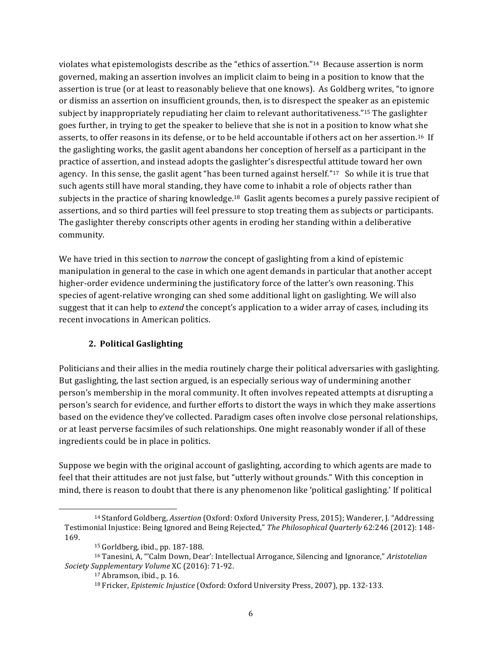violates what epistemologists describe as the "ethics of assertion."<sup>14</sup> Because assertion is norm governed, making an assertion involves an implicit claim to being in a position to know that the assertion is true (or at least to reasonably believe that one knows). As Goldberg writes, "to ignore or dismiss an assertion on insufficient grounds, then, is to disrespect the speaker as an epistemic subject by inappropriately repudiating her claim to relevant authoritativeness."<sup>15</sup> The gaslighter goes further, in trying to get the speaker to believe that she is not in a position to know what she asserts, to offer reasons in its defense, or to be held accountable if others act on her assertion.<sup>16</sup> If the gaslighting works, the gaslit agent abandons her conception of herself as a participant in the practice of assertion, and instead adopts the gaslighter's disrespectful attitude toward her own agency. In this sense, the gaslit agent "has been turned against herself." $17$  So while it is true that such agents still have moral standing, they have come to inhabit a role of objects rather than subjects in the practice of sharing knowledge.<sup>18</sup> Gaslit agents becomes a purely passive recipient of assertions, and so third parties will feel pressure to stop treating them as subjects or participants. The gaslighter thereby conscripts other agents in eroding her standing within a deliberative community.

We have tried in this section to *narrow* the concept of gaslighting from a kind of epistemic manipulation in general to the case in which one agent demands in particular that another accept higher-order evidence undermining the justificatory force of the latter's own reasoning. This species of agent-relative wronging can shed some additional light on gaslighting. We will also suggest that it can help to *extend* the concept's application to a wider array of cases, including its recent invocations in American politics.

#### **2. Political Gaslighting**

Politicians and their allies in the media routinely charge their political adversaries with gaslighting. But gaslighting, the last section argued, is an especially serious way of undermining another person's membership in the moral community. It often involves repeated attempts at disrupting a person's search for evidence, and further efforts to distort the ways in which they make assertions based on the evidence they've collected. Paradigm cases often involve close personal relationships, or at least perverse facsimiles of such relationships. One might reasonably wonder if all of these ingredients could be in place in politics.

Suppose we begin with the original account of gaslighting, according to which agents are made to feel that their attitudes are not just false, but "utterly without grounds." With this conception in mind, there is reason to doubt that there is any phenomenon like 'political gaslighting.' If political

<sup>&</sup>lt;sup>14</sup> Stanford Goldberg, *Assertion* (Oxford: Oxford University Press, 2015); Wanderer, J. "Addressing Testimonial Injustice: Being Ignored and Being Rejected," The Philosophical Quarterly 62:246 (2012): 148-169.

 $15$  Gorldberg, ibid., pp.  $187-188$ .

<sup>&</sup>lt;sup>16</sup> Tanesini, A, "'Calm Down, Dear': Intellectual Arrogance, Silencing and Ignorance," Aristotelian *Society Supplementary Volume* XC (2016): 71-92.

 $17$  Abramson, ibid., p. 16.

<sup>&</sup>lt;sup>18</sup> Fricker, *Epistemic Injustice* (Oxford: Oxford University Press, 2007), pp. 132-133.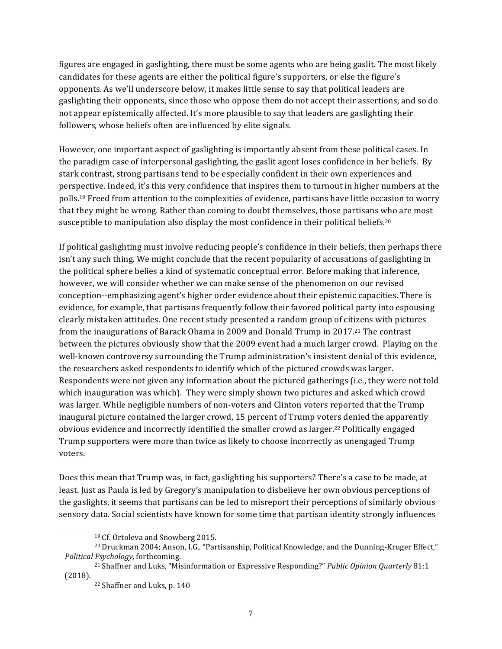figures are engaged in gaslighting, there must be some agents who are being gaslit. The most likely candidates for these agents are either the political figure's supporters, or else the figure's opponents. As we'll underscore below, it makes little sense to say that political leaders are gaslighting their opponents, since those who oppose them do not accept their assertions, and so do not appear epistemically affected. It's more plausible to say that leaders are gaslighting their followers, whose beliefs often are influenced by elite signals.

However, one important aspect of gaslighting is importantly absent from these political cases. In the paradigm case of interpersonal gaslighting, the gaslit agent loses confidence in her beliefs. By stark contrast, strong partisans tend to be especially confident in their own experiences and perspective. Indeed, it's this very confidence that inspires them to turnout in higher numbers at the polls.<sup>19</sup> Freed from attention to the complexities of evidence, partisans have little occasion to worry that they might be wrong. Rather than coming to doubt themselves, those partisans who are most susceptible to manipulation also display the most confidence in their political beliefs.<sup>20</sup>

If political gaslighting must involve reducing people's confidence in their beliefs, then perhaps there isn't any such thing. We might conclude that the recent popularity of accusations of gaslighting in the political sphere belies a kind of systematic conceptual error. Before making that inference, however, we will consider whether we can make sense of the phenomenon on our revised conception--emphasizing agent's higher order evidence about their epistemic capacities. There is evidence, for example, that partisans frequently follow their favored political party into espousing clearly mistaken attitudes. One recent study presented a random group of citizens with pictures from the inaugurations of Barack Obama in 2009 and Donald Trump in 2017.<sup>21</sup> The contrast between the pictures obviously show that the 2009 event had a much larger crowd. Playing on the well-known controversy surrounding the Trump administration's insistent denial of this evidence, the researchers asked respondents to identify which of the pictured crowds was larger. Respondents were not given any information about the pictured gatherings (i.e., they were not told which inauguration was which). They were simply shown two pictures and asked which crowd was larger. While negligible numbers of non-voters and Clinton voters reported that the Trump inaugural picture contained the larger crowd, 15 percent of Trump voters denied the apparently obvious evidence and incorrectly identified the smaller crowd as larger.<sup>22</sup> Politically engaged Trump supporters were more than twice as likely to choose incorrectly as unengaged Trump voters. 

Does this mean that Trump was, in fact, gaslighting his supporters? There's a case to be made, at least. Just as Paula is led by Gregory's manipulation to disbelieve her own obvious perceptions of the gaslights, it seems that partisans can be led to misreport their perceptions of similarly obvious sensory data. Social scientists have known for some time that partisan identity strongly influences

<sup>&</sup>lt;sup>19</sup> Cf. Ortoleva and Snowberg 2015.

<sup>&</sup>lt;sup>20</sup> Druckman 2004; Anson, I.G., "Partisanship, Political Knowledge, and the Dunning-Kruger Effect," *Political Psychology*, forthcoming.

<sup>&</sup>lt;sup>21</sup> Shaffner and Luks, "Misinformation or Expressive Responding?" *Public Opinion Quarterly* 81:1 (2018).

<sup>&</sup>lt;sup>22</sup> Shaffner and Luks, p. 140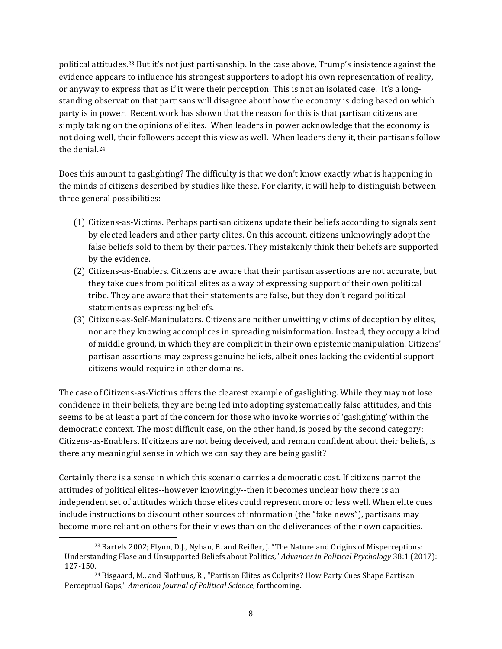political attitudes.<sup>23</sup> But it's not just partisanship. In the case above, Trump's insistence against the evidence appears to influence his strongest supporters to adopt his own representation of reality, or anyway to express that as if it were their perception. This is not an isolated case. It's a longstanding observation that partisans will disagree about how the economy is doing based on which party is in power. Recent work has shown that the reason for this is that partisan citizens are simply taking on the opinions of elites. When leaders in power acknowledge that the economy is not doing well, their followers accept this view as well. When leaders deny it, their partisans follow the denial.<sup>24</sup>

Does this amount to gaslighting? The difficulty is that we don't know exactly what is happening in the minds of citizens described by studies like these. For clarity, it will help to distinguish between three general possibilities:

- (1) Citizens-as-Victims. Perhaps partisan citizens update their beliefs according to signals sent by elected leaders and other party elites. On this account, citizens unknowingly adopt the false beliefs sold to them by their parties. They mistakenly think their beliefs are supported by the evidence.
- (2) Citizens-as-Enablers. Citizens are aware that their partisan assertions are not accurate, but they take cues from political elites as a way of expressing support of their own political tribe. They are aware that their statements are false, but they don't regard political statements as expressing beliefs.
- (3) Citizens-as-Self-Manipulators. Citizens are neither unwitting victims of deception by elites, nor are they knowing accomplices in spreading misinformation. Instead, they occupy a kind of middle ground, in which they are complicit in their own epistemic manipulation. Citizens' partisan assertions may express genuine beliefs, albeit ones lacking the evidential support citizens would require in other domains.

The case of Citizens-as-Victims offers the clearest example of gaslighting. While they may not lose confidence in their beliefs, they are being led into adopting systematically false attitudes, and this seems to be at least a part of the concern for those who invoke worries of 'gaslighting' within the democratic context. The most difficult case, on the other hand, is posed by the second category: Citizens-as-Enablers. If citizens are not being deceived, and remain confident about their beliefs, is there any meaningful sense in which we can say they are being gaslit?

Certainly there is a sense in which this scenario carries a democratic cost. If citizens parrot the attitudes of political elites--however knowingly--then it becomes unclear how there is an independent set of attitudes which those elites could represent more or less well. When elite cues include instructions to discount other sources of information (the "fake news"), partisans may become more reliant on others for their views than on the deliverances of their own capacities.

<sup>&</sup>lt;sup>23</sup> Bartels 2002; Flynn, D.J., Nyhan, B. and Reifler, J. "The Nature and Origins of Misperceptions: Understanding Flase and Unsupported Beliefs about Politics," *Advances in Political Psychology* 38:1 (2017): 127-150.<br><sup>24</sup> Bisgaard, M., and Slothuus, R., "Partisan Elites as Culprits? How Party Cues Shape Partisan

Perceptual Gaps," American Journal of Political Science, forthcoming.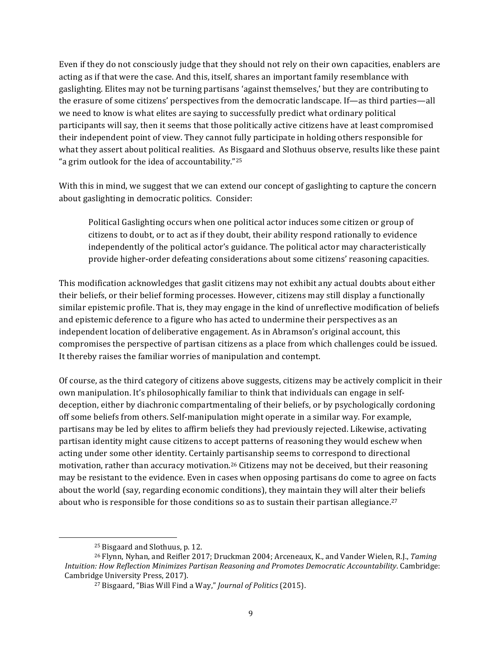Even if they do not consciously judge that they should not rely on their own capacities, enablers are acting as if that were the case. And this, itself, shares an important family resemblance with gaslighting. Elites may not be turning partisans 'against themselves,' but they are contributing to the erasure of some citizens' perspectives from the democratic landscape. If—as third parties—all we need to know is what elites are saying to successfully predict what ordinary political participants will say, then it seems that those politically active citizens have at least compromised their independent point of view. They cannot fully participate in holding others responsible for what they assert about political realities. As Bisgaard and Slothuus observe, results like these paint "a grim outlook for the idea of accountability." $25$ 

With this in mind, we suggest that we can extend our concept of gaslighting to capture the concern about gaslighting in democratic politics. Consider:

Political Gaslighting occurs when one political actor induces some citizen or group of citizens to doubt, or to act as if they doubt, their ability respond rationally to evidence independently of the political actor's guidance. The political actor may characteristically provide higher-order defeating considerations about some citizens' reasoning capacities.

This modification acknowledges that gaslit citizens may not exhibit any actual doubts about either their beliefs, or their belief forming processes. However, citizens may still display a functionally similar epistemic profile. That is, they may engage in the kind of unreflective modification of beliefs and epistemic deference to a figure who has acted to undermine their perspectives as an independent location of deliberative engagement. As in Abramson's original account, this compromises the perspective of partisan citizens as a place from which challenges could be issued. It thereby raises the familiar worries of manipulation and contempt.

Of course, as the third category of citizens above suggests, citizens may be actively complicit in their own manipulation. It's philosophically familiar to think that individuals can engage in selfdeception, either by diachronic compartmentaling of their beliefs, or by psychologically cordoning off some beliefs from others. Self-manipulation might operate in a similar way. For example, partisans may be led by elites to affirm beliefs they had previously rejected. Likewise, activating partisan identity might cause citizens to accept patterns of reasoning they would eschew when acting under some other identity. Certainly partisanship seems to correspond to directional motivation, rather than accuracy motivation.<sup>26</sup> Citizens may not be deceived, but their reasoning may be resistant to the evidence. Even in cases when opposing partisans do come to agree on facts about the world (say, regarding economic conditions), they maintain they will alter their beliefs about who is responsible for those conditions so as to sustain their partisan allegiance.<sup>27</sup>

 $25$  Bisgaard and Slothuus, p. 12.

<sup>&</sup>lt;sup>26</sup> Flynn, Nyhan, and Reifler 2017; Druckman 2004; Arceneaux, K., and Vander Wielen, R.J., *Taming* Intuition: How Reflection Minimizes Partisan Reasoning and Promotes Democratic Accountability. Cambridge: Cambridge University Press, 2017).

<sup>&</sup>lt;sup>27</sup> Bisgaard, "Bias Will Find a Way," *Journal of Politics* (2015).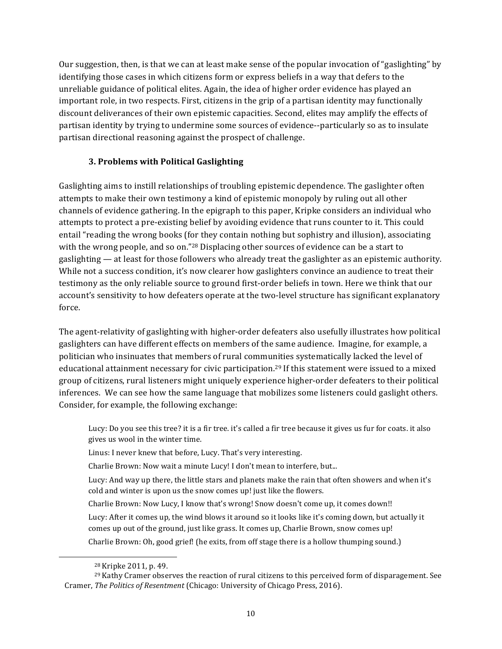Our suggestion, then, is that we can at least make sense of the popular invocation of "gaslighting" by identifying those cases in which citizens form or express beliefs in a way that defers to the unreliable guidance of political elites. Again, the idea of higher order evidence has played an important role, in two respects. First, citizens in the grip of a partisan identity may functionally discount deliverances of their own epistemic capacities. Second, elites may amplify the effects of partisan identity by trying to undermine some sources of evidence--particularly so as to insulate partisan directional reasoning against the prospect of challenge.

### **3. Problems with Political Gaslighting**

Gaslighting aims to instill relationships of troubling epistemic dependence. The gaslighter often attempts to make their own testimony a kind of epistemic monopoly by ruling out all other channels of evidence gathering. In the epigraph to this paper, Kripke considers an individual who attempts to protect a pre-existing belief by avoiding evidence that runs counter to it. This could entail "reading the wrong books (for they contain nothing but sophistry and illusion), associating with the wrong people, and so on."<sup>28</sup> Displacing other sources of evidence can be a start to gaslighting  $-$  at least for those followers who already treat the gaslighter as an epistemic authority. While not a success condition, it's now clearer how gaslighters convince an audience to treat their testimony as the only reliable source to ground first-order beliefs in town. Here we think that our account's sensitivity to how defeaters operate at the two-level structure has significant explanatory force.

The agent-relativity of gaslighting with higher-order defeaters also usefully illustrates how political gaslighters can have different effects on members of the same audience. Imagine, for example, a politician who insinuates that members of rural communities systematically lacked the level of educational attainment necessary for civic participation.<sup>29</sup> If this statement were issued to a mixed group of citizens, rural listeners might uniquely experience higher-order defeaters to their political inferences. We can see how the same language that mobilizes some listeners could gaslight others. Consider, for example, the following exchange:

Lucy: Do you see this tree? it is a fir tree. it's called a fir tree because it gives us fur for coats. it also gives us wool in the winter time.

Linus: I never knew that before, Lucy. That's very interesting.

Charlie Brown: Now wait a minute Lucy! I don't mean to interfere, but...

Lucy: And way up there, the little stars and planets make the rain that often showers and when it's cold and winter is upon us the snow comes up! just like the flowers.

Charlie Brown: Now Lucy, I know that's wrong! Snow doesn't come up, it comes down!!

Lucy: After it comes up, the wind blows it around so it looks like it's coming down, but actually it comes up out of the ground, just like grass. It comes up, Charlie Brown, snow comes up!

Charlie Brown: Oh, good grief! (he exits, from off stage there is a hollow thumping sound.)

<sup>&</sup>lt;sup>28</sup> Kripke 2011, p. 49.

<sup>&</sup>lt;sup>29</sup> Kathy Cramer observes the reaction of rural citizens to this perceived form of disparagement. See Cramer, *The Politics of Resentment* (Chicago: University of Chicago Press, 2016).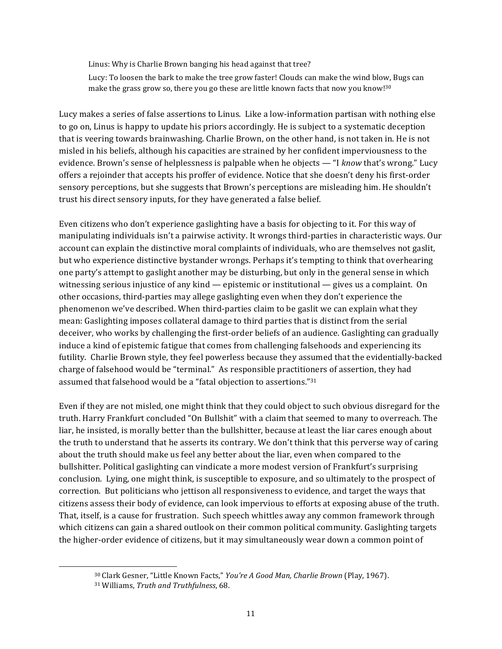Linus: Why is Charlie Brown banging his head against that tree?

Lucy: To loosen the bark to make the tree grow faster! Clouds can make the wind blow, Bugs can make the grass grow so, there you go these are little known facts that now you know! $30$ 

Lucy makes a series of false assertions to Linus. Like a low-information partisan with nothing else to go on, Linus is happy to update his priors accordingly. He is subject to a systematic deception that is veering towards brainwashing. Charlie Brown, on the other hand, is not taken in. He is not misled in his beliefs, although his capacities are strained by her confident imperviousness to the evidence. Brown's sense of helplessness is palpable when he objects — "I *know* that's wrong." Lucy offers a rejoinder that accepts his proffer of evidence. Notice that she doesn't deny his first-order sensory perceptions, but she suggests that Brown's perceptions are misleading him. He shouldn't trust his direct sensory inputs, for they have generated a false belief.

Even citizens who don't experience gaslighting have a basis for objecting to it. For this way of manipulating individuals isn't a pairwise activity. It wrongs third-parties in characteristic ways. Our account can explain the distinctive moral complaints of individuals, who are themselves not gaslit, but who experience distinctive bystander wrongs. Perhaps it's tempting to think that overhearing one party's attempt to gaslight another may be disturbing, but only in the general sense in which witnessing serious injustice of any kind — epistemic or institutional — gives us a complaint. On other occasions, third-parties may allege gaslighting even when they don't experience the phenomenon we've described. When third-parties claim to be gaslit we can explain what they mean: Gaslighting imposes collateral damage to third parties that is distinct from the serial deceiver, who works by challenging the first-order beliefs of an audience. Gaslighting can gradually induce a kind of epistemic fatigue that comes from challenging falsehoods and experiencing its futility. Charlie Brown style, they feel powerless because they assumed that the evidentially-backed charge of falsehood would be "terminal." As responsible practitioners of assertion, they had assumed that falsehood would be a "fatal objection to assertions."31

Even if they are not misled, one might think that they could object to such obvious disregard for the truth. Harry Frankfurt concluded "On Bullshit" with a claim that seemed to many to overreach. The liar, he insisted, is morally better than the bullshitter, because at least the liar cares enough about the truth to understand that he asserts its contrary. We don't think that this perverse way of caring about the truth should make us feel any better about the liar, even when compared to the bullshitter. Political gaslighting can vindicate a more modest version of Frankfurt's surprising conclusion. Lying, one might think, is susceptible to exposure, and so ultimately to the prospect of correction. But politicians who jettison all responsiveness to evidence, and target the ways that citizens assess their body of evidence, can look impervious to efforts at exposing abuse of the truth. That, itself, is a cause for frustration. Such speech whittles away any common framework through which citizens can gain a shared outlook on their common political community. Gaslighting targets the higher-order evidence of citizens, but it may simultaneously wear down a common point of

<sup>&</sup>lt;sup>30</sup> Clark Gesner, "Little Known Facts," *You're A Good Man, Charlie Brown* (Play, 1967).

<sup>&</sup>lt;sup>31</sup> Williams, *Truth and Truthfulness*, 68.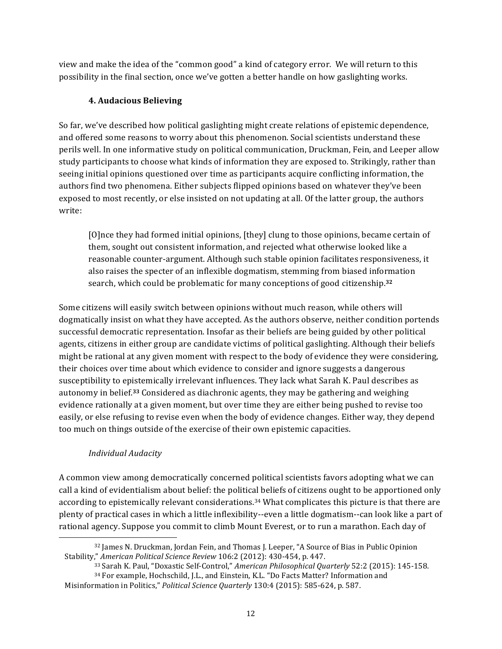view and make the idea of the "common good" a kind of category error. We will return to this possibility in the final section, once we've gotten a better handle on how gaslighting works.

## **4. Audacious Believing**

So far, we've described how political gaslighting might create relations of epistemic dependence, and offered some reasons to worry about this phenomenon. Social scientists understand these perils well. In one informative study on political communication, Druckman, Fein, and Leeper allow study participants to choose what kinds of information they are exposed to. Strikingly, rather than seeing initial opinions questioned over time as participants acquire conflicting information, the authors find two phenomena. Either subjects flipped opinions based on whatever they've been exposed to most recently, or else insisted on not updating at all. Of the latter group, the authors write:

[O]nce they had formed initial opinions, [they] clung to those opinions, became certain of them, sought out consistent information, and rejected what otherwise looked like a reasonable counter-argument. Although such stable opinion facilitates responsiveness, it also raises the specter of an inflexible dogmatism, stemming from biased information search, which could be problematic for many conceptions of good citizenship.<sup>32</sup>

Some citizens will easily switch between opinions without much reason, while others will dogmatically insist on what they have accepted. As the authors observe, neither condition portends successful democratic representation. Insofar as their beliefs are being guided by other political agents, citizens in either group are candidate victims of political gaslighting. Although their beliefs might be rational at any given moment with respect to the body of evidence they were considering, their choices over time about which evidence to consider and ignore suggests a dangerous susceptibility to epistemically irrelevant influences. They lack what Sarah K. Paul describes as autonomy in belief.<sup>33</sup> Considered as diachronic agents, they may be gathering and weighing evidence rationally at a given moment, but over time they are either being pushed to revise too easily, or else refusing to revise even when the body of evidence changes. Either way, they depend too much on things outside of the exercise of their own epistemic capacities.

## *Individual Audacity*

A common view among democratically concerned political scientists favors adopting what we can call a kind of evidentialism about belief: the political beliefs of citizens ought to be apportioned only according to epistemically relevant considerations.<sup>34</sup> What complicates this picture is that there are plenty of practical cases in which a little inflexibility--even a little dogmatism--can look like a part of rational agency. Suppose you commit to climb Mount Everest, or to run a marathon. Each day of

<sup>&</sup>lt;sup>32</sup> James N. Druckman, Jordan Fein, and Thomas J. Leeper, "A Source of Bias in Public Opinion Stability," *American Political Science Review* 106:2 (2012): 430-454, p. 447.

<sup>&</sup>lt;sup>33</sup> Sarah K. Paul, "Doxastic Self-Control," *American Philosophical Quarterly* 52:2 (2015): 145-158.

<sup>34</sup> For example, Hochschild, J.L., and Einstein, K.L. "Do Facts Matter? Information and Misinformation in Politics," Political Science Quarterly 130:4 (2015): 585-624, p. 587.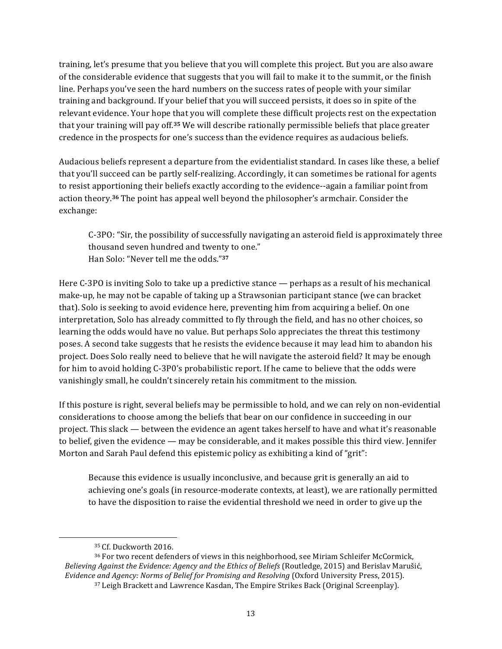training, let's presume that you believe that you will complete this project. But you are also aware of the considerable evidence that suggests that you will fail to make it to the summit, or the finish line. Perhaps you've seen the hard numbers on the success rates of people with your similar training and background. If your belief that you will succeed persists, it does so in spite of the relevant evidence. Your hope that you will complete these difficult projects rest on the expectation that your training will pay off.<sup>35</sup> We will describe rationally permissible beliefs that place greater credence in the prospects for one's success than the evidence requires as audacious beliefs.

Audacious beliefs represent a departure from the evidentialist standard. In cases like these, a belief that you'll succeed can be partly self-realizing. Accordingly, it can sometimes be rational for agents to resist apportioning their beliefs exactly according to the evidence--again a familiar point from action theory.<sup>36</sup> The point has appeal well beyond the philosopher's armchair. Consider the exchange:

C-3PO: "Sir, the possibility of successfully navigating an asteroid field is approximately three thousand seven hundred and twenty to one." Han Solo: "Never tell me the odds."<sup>37</sup>

Here  $C-3PO$  is inviting Solo to take up a predictive stance  $-$  perhaps as a result of his mechanical make-up, he may not be capable of taking up a Strawsonian participant stance (we can bracket that). Solo is seeking to avoid evidence here, preventing him from acquiring a belief. On one interpretation, Solo has already committed to fly through the field, and has no other choices, so learning the odds would have no value. But perhaps Solo appreciates the threat this testimony poses. A second take suggests that he resists the evidence because it may lead him to abandon his project. Does Solo really need to believe that he will navigate the asteroid field? It may be enough for him to avoid holding C-3P0's probabilistic report. If he came to believe that the odds were vanishingly small, he couldn't sincerely retain his commitment to the mission.

If this posture is right, several beliefs may be permissible to hold, and we can rely on non-evidential considerations to choose among the beliefs that bear on our confidence in succeeding in our project. This slack — between the evidence an agent takes herself to have and what it's reasonable to belief, given the evidence — may be considerable, and it makes possible this third view. Jennifer Morton and Sarah Paul defend this epistemic policy as exhibiting a kind of "grit":

Because this evidence is usually inconclusive, and because grit is generally an aid to achieving one's goals (in resource-moderate contexts, at least), we are rationally permitted to have the disposition to raise the evidential threshold we need in order to give up the

<sup>&</sup>lt;sup>35</sup> Cf. Duckworth 2016.

<sup>&</sup>lt;sup>36</sup> For two recent defenders of views in this neighborhood, see Miriam Schleifer McCormick, *Believing Against the Evidence: Agency and the Ethics of Beliefs* (Routledge, 2015) and Berislav Marušić, *Evidence and Agency: Norms of Belief for Promising and Resolving* (Oxford University Press, 2015).

<sup>&</sup>lt;sup>37</sup> Leigh Brackett and Lawrence Kasdan, The Empire Strikes Back (Original Screenplay).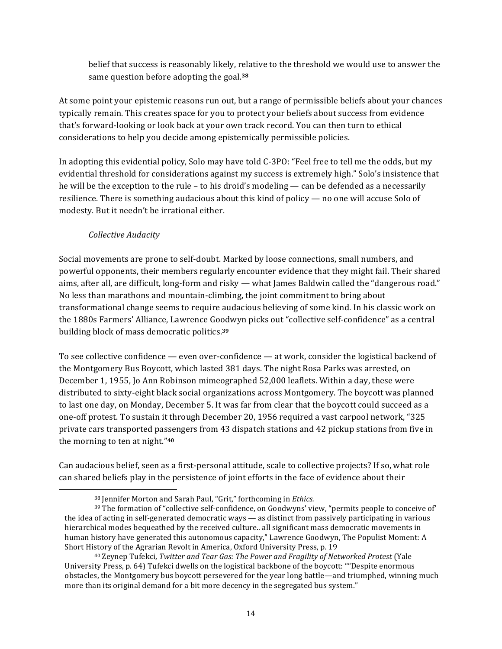belief that success is reasonably likely, relative to the threshold we would use to answer the same question before adopting the goal.<sup>38</sup>

At some point your epistemic reasons run out, but a range of permissible beliefs about your chances typically remain. This creates space for you to protect your beliefs about success from evidence that's forward-looking or look back at your own track record. You can then turn to ethical considerations to help you decide among epistemically permissible policies.

In adopting this evidential policy, Solo may have told C-3PO: "Feel free to tell me the odds, but my evidential threshold for considerations against my success is extremely high." Solo's insistence that he will be the exception to the rule  $-$  to his droid's modeling — can be defended as a necessarily resilience. There is something audacious about this kind of policy  $-$  no one will accuse Solo of modesty. But it needn't be irrational either.

#### *Collective Audacity*

Social movements are prone to self-doubt. Marked by loose connections, small numbers, and powerful opponents, their members regularly encounter evidence that they might fail. Their shared aims, after all, are difficult, long-form and risky — what James Baldwin called the "dangerous road." No less than marathons and mountain-climbing, the joint commitment to bring about transformational change seems to require audacious believing of some kind. In his classic work on the 1880s Farmers' Alliance, Lawrence Goodwyn picks out "collective self-confidence" as a central building block of mass democratic politics.**<sup>39</sup>**

To see collective confidence  $-$  even over-confidence  $-$  at work, consider the logistical backend of the Montgomery Bus Boycott, which lasted 381 days. The night Rosa Parks was arrested, on December 1, 1955, Jo Ann Robinson mimeographed 52,000 leaflets. Within a day, these were distributed to sixty-eight black social organizations across Montgomery. The boycott was planned to last one day, on Monday, December 5. It was far from clear that the boycott could succeed as a one-off protest. To sustain it through December 20, 1956 required a vast carpool network, "325 private cars transported passengers from 43 dispatch stations and 42 pickup stations from five in the morning to ten at night."<sup>40</sup>

Can audacious belief, seen as a first-personal attitude, scale to collective projects? If so, what role can shared beliefs play in the persistence of joint efforts in the face of evidence about their

<sup>&</sup>lt;sup>38</sup> Jennifer Morton and Sarah Paul, "Grit," forthcoming in *Ethics.* 

<sup>&</sup>lt;sup>39</sup> The formation of "collective self-confidence, on Goodwyns' view, "permits people to conceive of the idea of acting in self-generated democratic ways  $-$  as distinct from passively participating in various hierarchical modes bequeathed by the received culture.. all significant mass democratic movements in human history have generated this autonomous capacity," Lawrence Goodwyn, The Populist Moment: A Short History of the Agrarian Revolt in America, Oxford University Press, p. 19

<sup>&</sup>lt;sup>40</sup> Zeynep Tufekci, *Twitter and Tear Gas: The Power and Fragility of Networked Protest* (Yale University Press, p. 64) Tufekci dwells on the logistical backbone of the boycott: ""Despite enormous obstacles, the Montgomery bus boycott persevered for the year long battle—and triumphed, winning much more than its original demand for a bit more decency in the segregated bus system."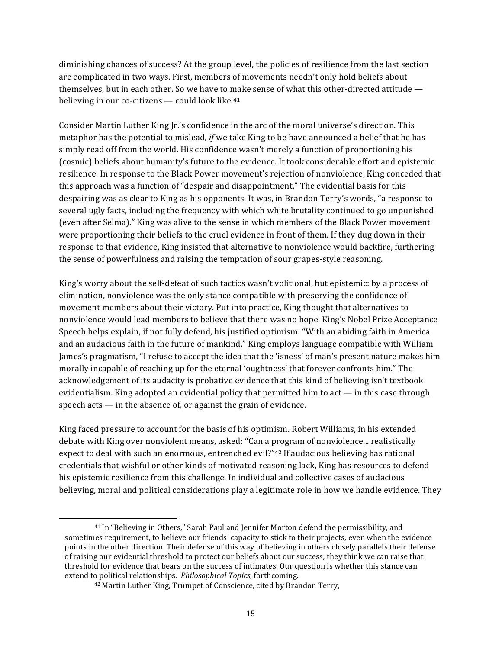diminishing chances of success? At the group level, the policies of resilience from the last section are complicated in two ways. First, members of movements needn't only hold beliefs about themselves, but in each other. So we have to make sense of what this other-directed attitude  $$ believing in our co-citizens — could look like.<sup>41</sup>

Consider Martin Luther King Jr.'s confidence in the arc of the moral universe's direction. This metaphor has the potential to mislead, *if* we take King to be have announced a belief that he has simply read off from the world. His confidence wasn't merely a function of proportioning his (cosmic) beliefs about humanity's future to the evidence. It took considerable effort and epistemic resilience. In response to the Black Power movement's rejection of nonviolence, King conceded that this approach was a function of "despair and disappointment." The evidential basis for this despairing was as clear to King as his opponents. It was, in Brandon Terry's words, "a response to several ugly facts, including the frequency with which white brutality continued to go unpunished (even after Selma)." King was alive to the sense in which members of the Black Power movement were proportioning their beliefs to the cruel evidence in front of them. If they dug down in their response to that evidence, King insisted that alternative to nonviolence would backfire, furthering the sense of powerfulness and raising the temptation of sour grapes-style reasoning.

King's worry about the self-defeat of such tactics wasn't volitional, but epistemic: by a process of elimination, nonviolence was the only stance compatible with preserving the confidence of movement members about their victory. Put into practice, King thought that alternatives to nonviolence would lead members to believe that there was no hope. King's Nobel Prize Acceptance Speech helps explain, if not fully defend, his justified optimism: "With an abiding faith in America and an audacious faith in the future of mankind," King employs language compatible with William James's pragmatism, "I refuse to accept the idea that the 'isness' of man's present nature makes him morally incapable of reaching up for the eternal 'oughtness' that forever confronts him." The acknowledgement of its audacity is probative evidence that this kind of believing isn't textbook evidentialism. King adopted an evidential policy that permitted him to act  $-$  in this case through speech acts  $-$  in the absence of, or against the grain of evidence.

King faced pressure to account for the basis of his optimism. Robert Williams, in his extended debate with King over nonviolent means, asked: "Can a program of nonviolence... realistically expect to deal with such an enormous, entrenched evil?"<sup>42</sup> If audacious believing has rational credentials that wishful or other kinds of motivated reasoning lack, King has resources to defend his epistemic resilience from this challenge. In individual and collective cases of audacious believing, moral and political considerations play a legitimate role in how we handle evidence. They

<sup>&</sup>lt;sup>41</sup> In "Believing in Others," Sarah Paul and Jennifer Morton defend the permissibility, and sometimes requirement, to believe our friends' capacity to stick to their projects, even when the evidence points in the other direction. Their defense of this way of believing in others closely parallels their defense of raising our evidential threshold to protect our beliefs about our success; they think we can raise that threshold for evidence that bears on the success of intimates. Our question is whether this stance can extend to political relationships. *Philosophical Topics*, forthcoming.

<sup>&</sup>lt;sup>42</sup> Martin Luther King, Trumpet of Conscience, cited by Brandon Terry,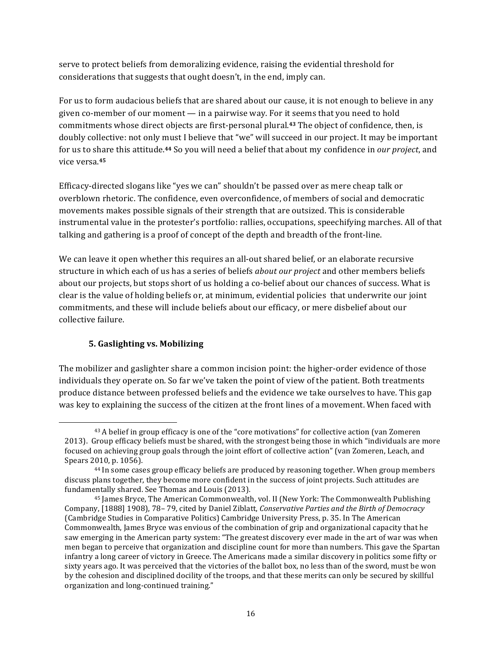serve to protect beliefs from demoralizing evidence, raising the evidential threshold for considerations that suggests that ought doesn't, in the end, imply can.

For us to form audacious beliefs that are shared about our cause, it is not enough to believe in any given co-member of our moment  $-$  in a pairwise way. For it seems that you need to hold commitments whose direct objects are first-personal plural.<sup>43</sup> The object of confidence, then, is doubly collective: not only must I believe that "we" will succeed in our project. It may be important for us to share this attitude.<sup>44</sup> So you will need a belief that about my confidence in *our project*, and vice versa.**<sup>45</sup>**

Efficacy-directed slogans like "yes we can" shouldn't be passed over as mere cheap talk or overblown rhetoric. The confidence, even overconfidence, of members of social and democratic movements makes possible signals of their strength that are outsized. This is considerable instrumental value in the protester's portfolio: rallies, occupations, speechifying marches. All of that talking and gathering is a proof of concept of the depth and breadth of the front-line.

We can leave it open whether this requires an all-out shared belief, or an elaborate recursive structure in which each of us has a series of beliefs *about our project* and other members beliefs about our projects, but stops short of us holding a co-belief about our chances of success. What is clear is the value of holding beliefs or, at minimum, evidential policies that underwrite our joint commitments, and these will include beliefs about our efficacy, or mere disbelief about our collective failure.

## **5.** Gaslighting vs. Mobilizing

The mobilizer and gaslighter share a common incision point: the higher-order evidence of those individuals they operate on. So far we've taken the point of view of the patient. Both treatments produce distance between professed beliefs and the evidence we take ourselves to have. This gap was key to explaining the success of the citizen at the front lines of a movement. When faced with

<sup>&</sup>lt;sup>43</sup> A belief in group efficacy is one of the "core motivations" for collective action (van Zomeren 2013). Group efficacy beliefs must be shared, with the strongest being those in which "individuals are more focused on achieving group goals through the joint effort of collective action" (van Zomeren, Leach, and Spears 2010, p. 1056).

<sup>&</sup>lt;sup>44</sup> In some cases group efficacy beliefs are produced by reasoning together. When group members discuss plans together, they become more confident in the success of joint projects. Such attitudes are fundamentally shared. See Thomas and Louis (2013).

<sup>&</sup>lt;sup>45</sup> James Bryce, The American Commonwealth, vol. II (New York: The Commonwealth Publishing Company, [1888] 1908), 78-79, cited by Daniel Ziblatt, *Conservative Parties and the Birth of Democracy* (Cambridge Studies in Comparative Politics) Cambridge University Press, p. 35. In The American Commonwealth, James Bryce was envious of the combination of grip and organizational capacity that he saw emerging in the American party system: "The greatest discovery ever made in the art of war was when men began to perceive that organization and discipline count for more than numbers. This gave the Spartan infantry a long career of victory in Greece. The Americans made a similar discovery in politics some fifty or sixty years ago. It was perceived that the victories of the ballot box, no less than of the sword, must be won by the cohesion and disciplined docility of the troops, and that these merits can only be secured by skillful organization and long-continued training."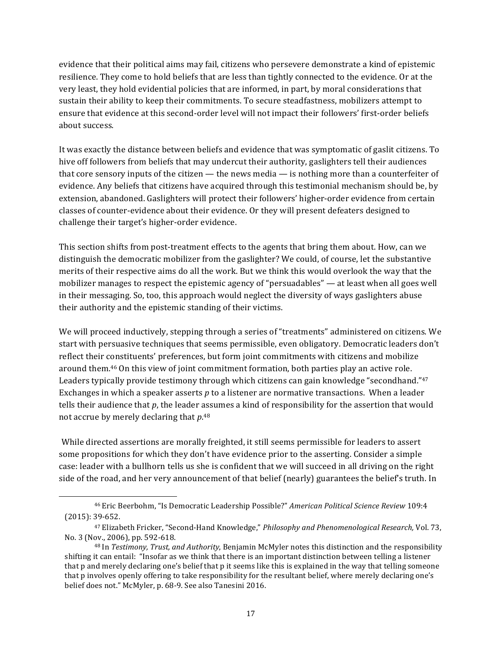evidence that their political aims may fail, citizens who persevere demonstrate a kind of epistemic resilience. They come to hold beliefs that are less than tightly connected to the evidence. Or at the very least, they hold evidential policies that are informed, in part, by moral considerations that sustain their ability to keep their commitments. To secure steadfastness, mobilizers attempt to ensure that evidence at this second-order level will not impact their followers' first-order beliefs about success.

It was exactly the distance between beliefs and evidence that was symptomatic of gaslit citizens. To hive off followers from beliefs that may undercut their authority, gaslighters tell their audiences that core sensory inputs of the citizen — the news media — is nothing more than a counterfeiter of evidence. Any beliefs that citizens have acquired through this testimonial mechanism should be, by extension, abandoned. Gaslighters will protect their followers' higher-order evidence from certain classes of counter-evidence about their evidence. Or they will present defeaters designed to challenge their target's higher-order evidence.

This section shifts from post-treatment effects to the agents that bring them about. How, can we distinguish the democratic mobilizer from the gaslighter? We could, of course, let the substantive merits of their respective aims do all the work. But we think this would overlook the way that the mobilizer manages to respect the epistemic agency of "persuadables"  $-$  at least when all goes well in their messaging. So, too, this approach would neglect the diversity of ways gaslighters abuse their authority and the epistemic standing of their victims.

We will proceed inductively, stepping through a series of "treatments" administered on citizens. We start with persuasive techniques that seems permissible, even obligatory. Democratic leaders don't reflect their constituents' preferences, but form joint commitments with citizens and mobilize around them.<sup>46</sup> On this view of joint commitment formation, both parties play an active role. Leaders typically provide testimony through which citizens can gain knowledge "secondhand." $47$ Exchanges in which a speaker asserts  $p$  to a listener are normative transactions. When a leader tells their audience that  $p$ , the leader assumes a kind of responsibility for the assertion that would not accrue by merely declaring that  $p^{148}$ 

While directed assertions are morally freighted, it still seems permissible for leaders to assert some propositions for which they don't have evidence prior to the asserting. Consider a simple case: leader with a bullhorn tells us she is confident that we will succeed in all driving on the right side of the road, and her very announcement of that belief (nearly) guarantees the belief's truth. In

<sup>46</sup> Eric Beerbohm, "Is Democratic Leadership Possible?" *American Political Science Review* 109:4 (2015): 39-652.

<sup>&</sup>lt;sup>47</sup> Elizabeth Fricker, "Second-Hand Knowledge," *Philosophy and Phenomenological Research, Vol.* 73, No. 3 (Nov., 2006), pp. 592-618.

<sup>&</sup>lt;sup>48</sup> In *Testimony, Trust, and Authority*, Benjamin McMyler notes this distinction and the responsibility shifting it can entail: "Insofar as we think that there is an important distinction between telling a listener that p and merely declaring one's belief that p it seems like this is explained in the way that telling someone that p involves openly offering to take responsibility for the resultant belief, where merely declaring one's belief does not." McMyler, p. 68-9. See also Tanesini 2016.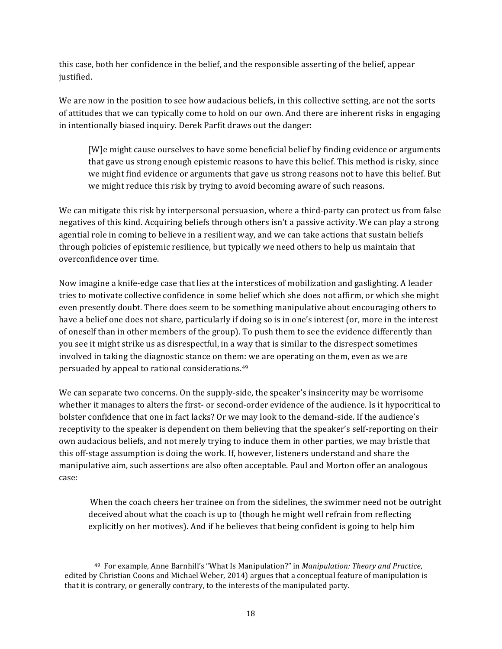this case, both her confidence in the belief, and the responsible asserting of the belief, appear justified.

We are now in the position to see how audacious beliefs, in this collective setting, are not the sorts of attitudes that we can typically come to hold on our own. And there are inherent risks in engaging in intentionally biased inquiry. Derek Parfit draws out the danger:

[W]e might cause ourselves to have some beneficial belief by finding evidence or arguments that gave us strong enough epistemic reasons to have this belief. This method is risky, since we might find evidence or arguments that gave us strong reasons not to have this belief. But we might reduce this risk by trying to avoid becoming aware of such reasons.

We can mitigate this risk by interpersonal persuasion, where a third-party can protect us from false negatives of this kind. Acquiring beliefs through others isn't a passive activity. We can play a strong agential role in coming to believe in a resilient way, and we can take actions that sustain beliefs through policies of epistemic resilience, but typically we need others to help us maintain that overconfidence over time. 

Now imagine a knife-edge case that lies at the interstices of mobilization and gaslighting. A leader tries to motivate collective confidence in some belief which she does not affirm, or which she might even presently doubt. There does seem to be something manipulative about encouraging others to have a belief one does not share, particularly if doing so is in one's interest (or, more in the interest of oneself than in other members of the group). To push them to see the evidence differently than you see it might strike us as disrespectful, in a way that is similar to the disrespect sometimes involved in taking the diagnostic stance on them: we are operating on them, even as we are persuaded by appeal to rational considerations.<sup>49</sup>

We can separate two concerns. On the supply-side, the speaker's insincerity may be worrisome whether it manages to alters the first- or second-order evidence of the audience. Is it hypocritical to bolster confidence that one in fact lacks? Or we may look to the demand-side. If the audience's receptivity to the speaker is dependent on them believing that the speaker's self-reporting on their own audacious beliefs, and not merely trying to induce them in other parties, we may bristle that this off-stage assumption is doing the work. If, however, listeners understand and share the manipulative aim, such assertions are also often acceptable. Paul and Morton offer an analogous case:

When the coach cheers her trainee on from the sidelines, the swimmer need not be outright deceived about what the coach is up to (though he might well refrain from reflecting explicitly on her motives). And if he believes that being confident is going to help him

<sup>&</sup>lt;sup>49</sup> For example, Anne Barnhill's "What Is Manipulation?" in *Manipulation: Theory and Practice*, edited by Christian Coons and Michael Weber, 2014) argues that a conceptual feature of manipulation is that it is contrary, or generally contrary, to the interests of the manipulated party.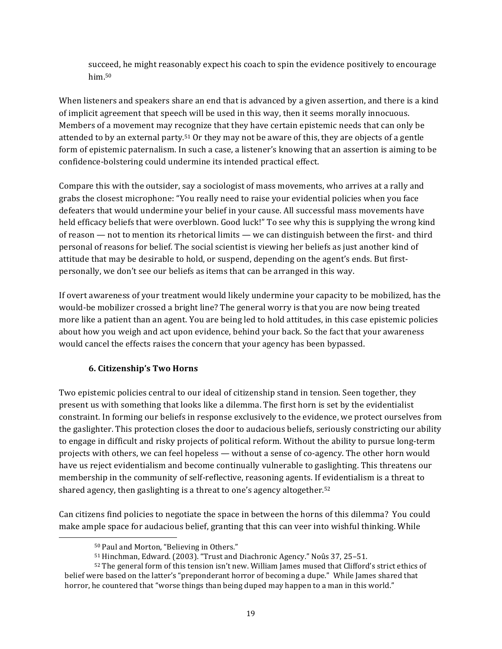succeed, he might reasonably expect his coach to spin the evidence positively to encourage him.50

When listeners and speakers share an end that is advanced by a given assertion, and there is a kind of implicit agreement that speech will be used in this way, then it seems morally innocuous. Members of a movement may recognize that they have certain epistemic needs that can only be attended to by an external party.<sup>51</sup> Or they may not be aware of this, they are objects of a gentle form of epistemic paternalism. In such a case, a listener's knowing that an assertion is aiming to be confidence-bolstering could undermine its intended practical effect.

Compare this with the outsider, say a sociologist of mass movements, who arrives at a rally and grabs the closest microphone: "You really need to raise your evidential policies when you face defeaters that would undermine your belief in your cause. All successful mass movements have held efficacy beliefs that were overblown. Good luck!" To see why this is supplying the wrong kind of reason — not to mention its rhetorical limits — we can distinguish between the first- and third personal of reasons for belief. The social scientist is viewing her beliefs as just another kind of attitude that may be desirable to hold, or suspend, depending on the agent's ends. But firstpersonally, we don't see our beliefs as items that can be arranged in this way.

If overt awareness of your treatment would likely undermine your capacity to be mobilized, has the would-be mobilizer crossed a bright line? The general worry is that you are now being treated more like a patient than an agent. You are being led to hold attitudes, in this case epistemic policies about how you weigh and act upon evidence, behind your back. So the fact that your awareness would cancel the effects raises the concern that your agency has been bypassed.

## **6. Citizenship's Two Horns**

Two epistemic policies central to our ideal of citizenship stand in tension. Seen together, they present us with something that looks like a dilemma. The first horn is set by the evidentialist constraint. In forming our beliefs in response exclusively to the evidence, we protect ourselves from the gaslighter. This protection closes the door to audacious beliefs, seriously constricting our ability to engage in difficult and risky projects of political reform. Without the ability to pursue long-term projects with others, we can feel hopeless — without a sense of co-agency. The other horn would have us reject evidentialism and become continually vulnerable to gaslighting. This threatens our membership in the community of self-reflective, reasoning agents. If evidentialism is a threat to shared agency, then gaslighting is a threat to one's agency altogether.<sup>52</sup>

Can citizens find policies to negotiate the space in between the horns of this dilemma? You could make ample space for audacious belief, granting that this can veer into wishful thinking. While

<sup>50</sup> Paul and Morton, "Believing in Others."

<sup>51</sup> Hinchman, Edward. (2003). "Trust and Diachronic Agency." Noûs 37, 25-51.

 $52$  The general form of this tension isn't new. William James mused that Clifford's strict ethics of belief were based on the latter's "preponderant horror of becoming a dupe." While James shared that horror, he countered that "worse things than being duped may happen to a man in this world."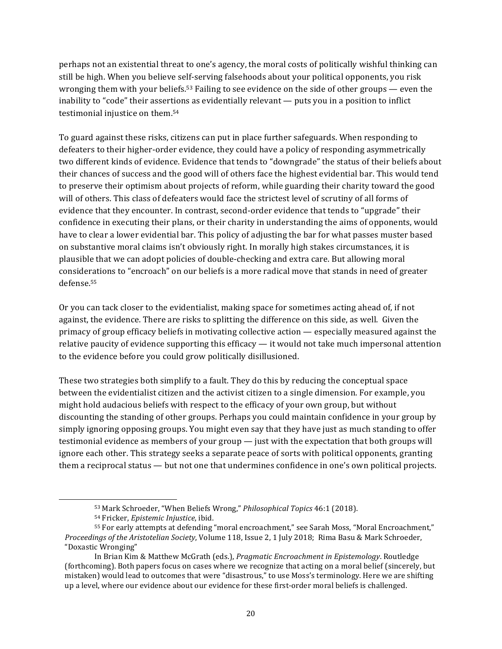perhaps not an existential threat to one's agency, the moral costs of politically wishful thinking can still be high. When you believe self-serving falsehoods about your political opponents, you risk wronging them with your beliefs.<sup>53</sup> Failing to see evidence on the side of other groups — even the inability to "code" their assertions as evidentially relevant  $-$  puts you in a position to inflict testimonial injustice on them.<sup>54</sup>

To guard against these risks, citizens can put in place further safeguards. When responding to defeaters to their higher-order evidence, they could have a policy of responding asymmetrically two different kinds of evidence. Evidence that tends to "downgrade" the status of their beliefs about their chances of success and the good will of others face the highest evidential bar. This would tend to preserve their optimism about projects of reform, while guarding their charity toward the good will of others. This class of defeaters would face the strictest level of scrutiny of all forms of evidence that they encounter. In contrast, second-order evidence that tends to "upgrade" their confidence in executing their plans, or their charity in understanding the aims of opponents, would have to clear a lower evidential bar. This policy of adjusting the bar for what passes muster based on substantive moral claims isn't obviously right. In morally high stakes circumstances, it is plausible that we can adopt policies of double-checking and extra care. But allowing moral considerations to "encroach" on our beliefs is a more radical move that stands in need of greater defense.55

Or you can tack closer to the evidentialist, making space for sometimes acting ahead of, if not against, the evidence. There are risks to splitting the difference on this side, as well. Given the primacy of group efficacy beliefs in motivating collective action — especially measured against the relative paucity of evidence supporting this efficacy  $-$  it would not take much impersonal attention to the evidence before you could grow politically disillusioned.

These two strategies both simplify to a fault. They do this by reducing the conceptual space between the evidentialist citizen and the activist citizen to a single dimension. For example, you might hold audacious beliefs with respect to the efficacy of your own group, but without discounting the standing of other groups. Perhaps you could maintain confidence in your group by simply ignoring opposing groups. You might even say that they have just as much standing to offer testimonial evidence as members of your group  $-$  just with the expectation that both groups will ignore each other. This strategy seeks a separate peace of sorts with political opponents, granting them a reciprocal status  $-$  but not one that undermines confidence in one's own political projects.

<sup>53</sup> Mark Schroeder, "When Beliefs Wrong," *Philosophical Topics* 46:1 (2018).

<sup>54</sup> Fricker, *Epistemic Injustice*, ibid.

<sup>55</sup> For early attempts at defending "moral encroachment," see Sarah Moss, "Moral Encroachment," *Proceedings of the Aristotelian Society*, Volume 118, Issue 2, 1 July 2018; Rima Basu & Mark Schroeder, "Doxastic Wronging"

In Brian Kim & Matthew McGrath (eds.), *Pragmatic Encroachment in Epistemology*. Routledge (forthcoming). Both papers focus on cases where we recognize that acting on a moral belief (sincerely, but mistaken) would lead to outcomes that were "disastrous," to use Moss's terminology. Here we are shifting up a level, where our evidence about our evidence for these first-order moral beliefs is challenged.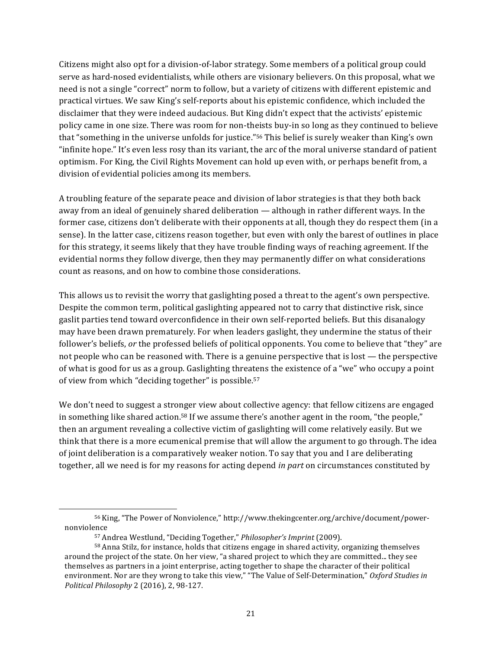Citizens might also opt for a division-of-labor strategy. Some members of a political group could serve as hard-nosed evidentialists, while others are visionary believers. On this proposal, what we need is not a single "correct" norm to follow, but a variety of citizens with different epistemic and practical virtues. We saw King's self-reports about his epistemic confidence, which included the disclaimer that they were indeed audacious. But King didn't expect that the activists' epistemic policy came in one size. There was room for non-theists buy-in so long as they continued to believe that "something in the universe unfolds for justice."<sup>56</sup> This belief is surely weaker than King's own "infinite hope." It's even less rosy than its variant, the arc of the moral universe standard of patient optimism. For King, the Civil Rights Movement can hold up even with, or perhaps benefit from, a division of evidential policies among its members.

A troubling feature of the separate peace and division of labor strategies is that they both back away from an ideal of genuinely shared deliberation — although in rather different ways. In the former case, citizens don't deliberate with their opponents at all, though they do respect them (in a sense). In the latter case, citizens reason together, but even with only the barest of outlines in place for this strategy, it seems likely that they have trouble finding ways of reaching agreement. If the evidential norms they follow diverge, then they may permanently differ on what considerations count as reasons, and on how to combine those considerations.

This allows us to revisit the worry that gaslighting posed a threat to the agent's own perspective. Despite the common term, political gaslighting appeared not to carry that distinctive risk, since gaslit parties tend toward overconfidence in their own self-reported beliefs. But this disanalogy may have been drawn prematurely. For when leaders gaslight, they undermine the status of their follower's beliefs, *or* the professed beliefs of political opponents. You come to believe that "they" are not people who can be reasoned with. There is a genuine perspective that is lost  $-$  the perspective of what is good for us as a group. Gaslighting threatens the existence of a "we" who occupy a point of view from which "deciding together" is possible.<sup>57</sup>

We don't need to suggest a stronger view about collective agency: that fellow citizens are engaged in something like shared action.<sup>58</sup> If we assume there's another agent in the room, "the people," then an argument revealing a collective victim of gaslighting will come relatively easily. But we think that there is a more ecumenical premise that will allow the argument to go through. The idea of joint deliberation is a comparatively weaker notion. To say that you and I are deliberating together, all we need is for my reasons for acting depend *in part* on circumstances constituted by

<sup>56</sup> King, "The Power of Nonviolence," http://www.thekingcenter.org/archive/document/powernonviolence

<sup>57</sup> Andrea Westlund, "Deciding Together," Philosopher's Imprint (2009).

 $58$  Anna Stilz, for instance, holds that citizens engage in shared activity, organizing themselves around the project of the state. On her view, "a shared project to which they are committed... they see themselves as partners in a joint enterprise, acting together to shape the character of their political environment. Nor are they wrong to take this view," "The Value of Self-Determination," Oxford Studies in *Political Philosophy* 2 (2016), 2, 98-127.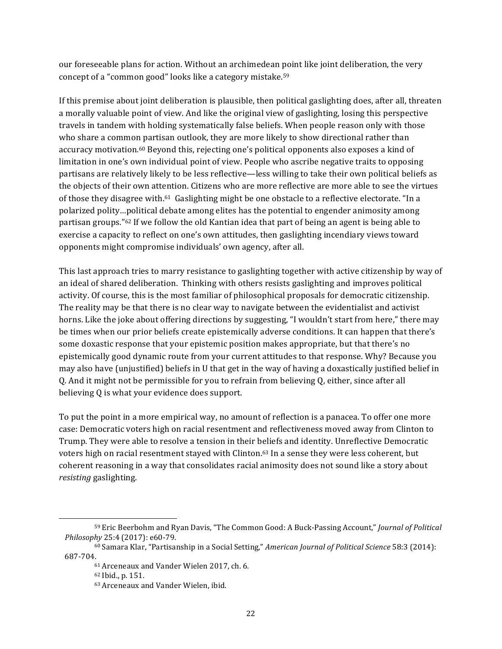our foreseeable plans for action. Without an archimedean point like joint deliberation, the very concept of a "common good" looks like a category mistake.<sup>59</sup>

If this premise about joint deliberation is plausible, then political gaslighting does, after all, threaten a morally valuable point of view. And like the original view of gaslighting, losing this perspective travels in tandem with holding systematically false beliefs. When people reason only with those who share a common partisan outlook, they are more likely to show directional rather than accuracy motivation.<sup>60</sup> Beyond this, rejecting one's political opponents also exposes a kind of limitation in one's own individual point of view. People who ascribe negative traits to opposing partisans are relatively likely to be less reflective—less willing to take their own political beliefs as the objects of their own attention. Citizens who are more reflective are more able to see the virtues of those they disagree with.<sup>61</sup> Gaslighting might be one obstacle to a reflective electorate. "In a polarized polity…political debate among elites has the potential to engender animosity among partisan groups."<sup>62</sup> If we follow the old Kantian idea that part of being an agent is being able to exercise a capacity to reflect on one's own attitudes, then gaslighting incendiary views toward opponents might compromise individuals' own agency, after all.

This last approach tries to marry resistance to gaslighting together with active citizenship by way of an ideal of shared deliberation. Thinking with others resists gaslighting and improves political activity. Of course, this is the most familiar of philosophical proposals for democratic citizenship. The reality may be that there is no clear way to navigate between the evidentialist and activist horns. Like the joke about offering directions by suggesting, "I wouldn't start from here," there may be times when our prior beliefs create epistemically adverse conditions. It can happen that there's some doxastic response that your epistemic position makes appropriate, but that there's no epistemically good dynamic route from your current attitudes to that response. Why? Because you may also have (unjustified) beliefs in U that get in the way of having a doxastically justified belief in Q. And it might not be permissible for you to refrain from believing Q, either, since after all believing Q is what your evidence does support.

To put the point in a more empirical way, no amount of reflection is a panacea. To offer one more case: Democratic voters high on racial resentment and reflectiveness moved away from Clinton to Trump. They were able to resolve a tension in their beliefs and identity. Unreflective Democratic voters high on racial resentment stayed with Clinton.<sup>63</sup> In a sense they were less coherent, but coherent reasoning in a way that consolidates racial animosity does not sound like a story about *resisting* gaslighting.

<sup>59</sup> Eric Beerbohm and Ryan Davis, "The Common Good: A Buck-Passing Account," *Journal of Political Philosophy* 25:4 (2017): e60-79.

<sup>&</sup>lt;sup>60</sup> Samara Klar, "Partisanship in a Social Setting," *American Journal of Political Science* 58:3 (2014): 687-704.<br> $61$  Arceneaux and Vander Wielen 2017, ch. 6.

<sup>62</sup> Ibid., p. 151.

<sup>&</sup>lt;sup>63</sup> Arceneaux and Vander Wielen, ibid.